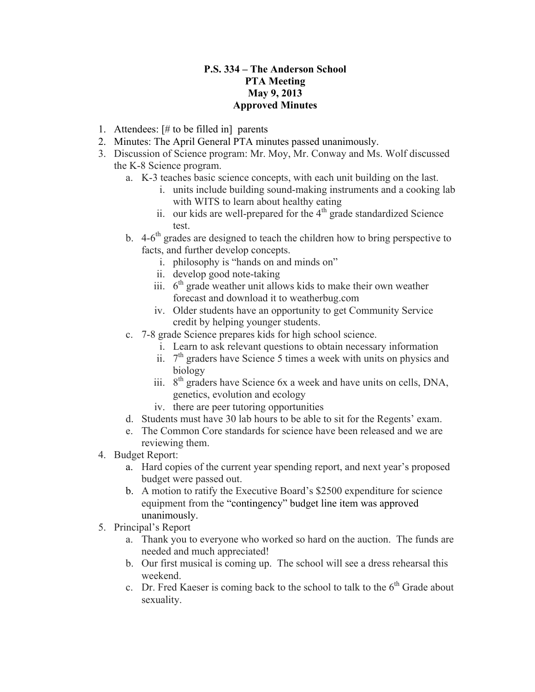## **P.S. 334 – The Anderson School PTA Meeting May 9, 2013 Approved Minutes**

- 1. Attendees: [# to be filled in] parents
- 2. Minutes: The April General PTA minutes passed unanimously.
- 3. Discussion of Science program: Mr. Moy, Mr. Conway and Ms. Wolf discussed the K-8 Science program.
	- a. K-3 teaches basic science concepts, with each unit building on the last.
		- i. units include building sound-making instruments and a cooking lab with WITS to learn about healthy eating
		- ii. our kids are well-prepared for the  $4<sup>th</sup>$  grade standardized Science test.
	- b.  $4-6$ <sup>th</sup> grades are designed to teach the children how to bring perspective to facts, and further develop concepts.
		- i. philosophy is "hands on and minds on"
		- ii. develop good note-taking
		- iii.  $6<sup>th</sup>$  grade weather unit allows kids to make their own weather forecast and download it to weatherbug.com
		- iv. Older students have an opportunity to get Community Service credit by helping younger students.
	- c. 7-8 grade Science prepares kids for high school science.
		- i. Learn to ask relevant questions to obtain necessary information
		- ii.  $7<sup>th</sup>$  graders have Science 5 times a week with units on physics and biology
		- iii.  $8<sup>th</sup>$  graders have Science 6x a week and have units on cells, DNA, genetics, evolution and ecology
		- iv. there are peer tutoring opportunities
	- d. Students must have 30 lab hours to be able to sit for the Regents' exam.
	- e. The Common Core standards for science have been released and we are reviewing them.
- 4. Budget Report:
	- a. Hard copies of the current year spending report, and next year's proposed budget were passed out.
	- b. A motion to ratify the Executive Board's \$2500 expenditure for science equipment from the "contingency" budget line item was approved unanimously.
- 5. Principal's Report
	- a. Thank you to everyone who worked so hard on the auction. The funds are needed and much appreciated!
	- b. Our first musical is coming up. The school will see a dress rehearsal this weekend.
	- c. Dr. Fred Kaeser is coming back to the school to talk to the  $6<sup>th</sup>$  Grade about sexuality.